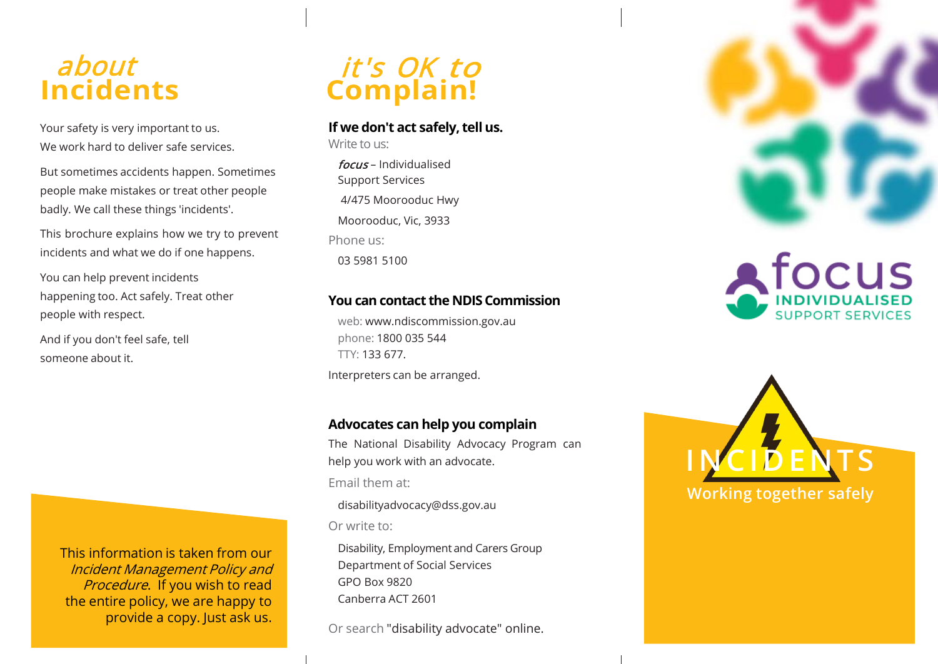# about **Incidents**

Your safety is very important to us. We work hard to deliver safe services.

But sometimes accidents happen. Sometimes people make mistakes or treat other people badly. We call these things 'incidents'.

This brochure explains how we try to prevent incidents and what we do if one happens.

You can help prevent incidents happening too. Act safely. Treat other people with respect.

And if you don't feel safe, tell someone about it.

> This information is taken from our Incident Management Policy and Procedure. If you wish to read the entire policy, we are happy to provide a copy. Just ask us.



#### **If we don't act safely, tell us.**

Write to us:

focus – Individualised Support Services 4/475 Moorooduc Hwy Moorooduc, Vic, 3933 Phone us: 03 5981 5100

### **You can contact the NDISCommission**

web: [www.ndiscommission.gov.au](http://www.ndiscommission.gov.au/)  phone: 1800 035 544 TTY: 133 677. Interpreters can be arranged.

### **Advocates can help you complain**

The National Disability Advocacy Program can help you work with an advocate. Email them at:

[disabilityadvocacy@dss.gov.au](mailto:disabilityadvocacy@dss.gov.au)

Or write to:

Disability, Employment and Carers Group Department of Social Services GPO Box 9820 Canberra ACT 2601

Or search "disability advocate" online.